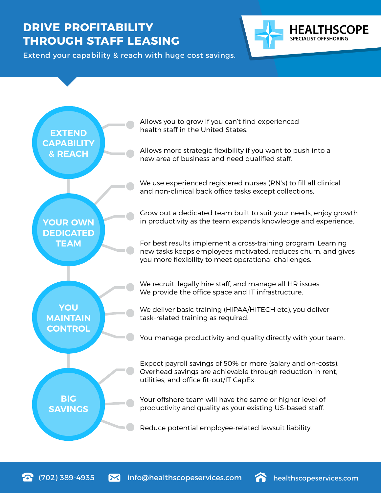## **DRIVE PROFITABILITY THROUGH STAFF LEASING**



Extend your capability & reach with huge cost savings.



(702) 389-4935 info@healthscopeservices.com healthscopeservices.com